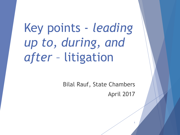Key points - *leading up to, during, and after* – litigation

> Bilal Rauf, State Chambers April 2017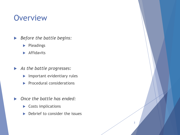# **Overview**

- *Before the battle begins:*
	- $\blacktriangleright$  Pleadings
	- **Affidavits**
- *As the battle progresses:*
	- $\blacktriangleright$  Important evidentiary rules
	- $\blacktriangleright$  Procedural considerations
- *Once the battle has ended:*
	- Costs implications
	- $\blacktriangleright$  Debrief to consider the issues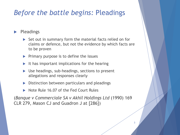#### *Before the battle begins:* Pleadings

Pleadings

- $\triangleright$  Set out in summary form the material facts relied on for claims or defence, but not the evidence by which facts are to be proven
- $\triangleright$  Primary purpose is to define the issues
- It has important implications for the hearing
- Use headings, sub-headings, sections to present allegations and responses clearly
- ▶ Distinction between particulars and pleadings
- Note Rule 16.07 of the Fed Court Rules

(*Banque v Commerciale SA v Akhil Holdings Ltd* (1990) 169 CLR 279, Mason CJ and Guadron J at [286])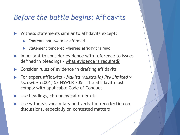#### *Before the battle begins:* Affidavits

Witness statements similar to affidavits except:

- Contents not sworn or affirmed
- Statement tendered whereas affidavit is read
- Important to consider evidence with reference to issues defined in pleadings – what evidence is required?
- Consider rules of evidence in drafting affidavits
- For expert affidavits *Makita (Australia) Pty Limited v Sprowles* (2001) 52 NSWLR 705. The affidavit must comply with applicable Code of Conduct
- Use headings, chronological order etc
- Use witness's vocabulary and verbatim recollection on discussions, especially on contested matters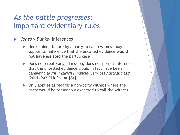#### *Jones v Dunkel* inferences

- **Dispendiffully** Unexplained failure by a party to call a witness may support an inference that the uncalled evidence **would not have assisted** the party's case
- Does not create any admission; does not permit inference that the untested evidence would in fact have been damaging (*Kuhl v Zurich Financial Services Australia Ltd*  (2011) 243 CLR 361 at [64]
- Only applies as regards a non-party witness where the party would be reasonably expected to call the witness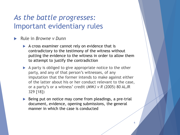- Rule in *Browne v Dunn*
	- $\blacktriangleright$  A cross examiner cannot rely on evidence that is contradictory to the testimony of the witness without putting the evidence to the witness in order to allow them to attempt to justify the contradiction
	- A party is obliged to give appropriate notice to the other party, and any of that person's witnesses, of any imputation that the former intends to make against either of the latter about his or her conduct relevant to the case, or a party's or a witness' credit (*MWJ v R* (2005) 80 ALJR 329 [18])
	- Being put on notice may come from pleadings, a pre-trial document, evidence, opening submissions, the general manner in which the case is conducted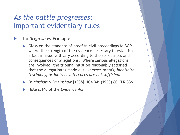- The *Briginshaw* Principle
	- Gloss on the standard of proof in civil proceedings ie BOP, where the strength of the evidence necessary to establish a fact in issue will vary according to the seriousness and consequences of allegations. Where serious allegations are involved, the tribunal must be reasonably satisfied that the allegation is made out. *Inexact proofs, indefinite testimony, or indirect inferences are not sufficient*
	- *Briginshaw v Briginshaw* [1938] HCA 34; (1938) 60 CLR 336

7

Note s.140 of the *Evidence Act*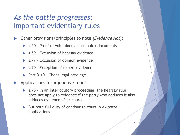- Other provisions/principles to note *(Evidence Act*)*:*
	- ▶ s.50 Proof of voluminous or complex documents
	- ▶ s.59 Exclusion of hearsay evidence
	- s.77 Exclusion of opinion evidence
	- ▶ s.79 Exception of expert evidence
	- $\triangleright$  Part 3.10 Client legal privilege
- Applications for injunctive relief
	- ▶ s.75 In an interlocutory proceeding, the hearsay rule does not apply to evidence if the party who adduces it also adduces evidence of its source
	- ▶ But note full duty of candour to court in *ex parte* applications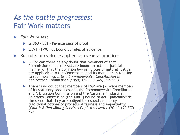#### *As the battle progresses:*  Fair Work matters

- *Fair Work Act:*
	- ▶ ss.360 361 Reverse onus of proof
	- ▶ s.591 FWC not bound by rules of evidence
- But rules of evidence applied as a general practice:
	- ▶ … Nor can there be any doubt that members of that Commission under the Act are bound to act in a judicial manner or that the common law principles of natural justice are applicable to the Commission and its members in relation to such hearings … (*R v Commonwealth Conciliation & Arbitration Commission* (1969) 122 CLR 546, 552-553)
	- ▶ There is no doubt that members of FWA are (as were members of its statutory predecessors, the Commonwealth Conciliation and Arbitration Commission and the Australian Industrial Relations Commission (the AIRC)) bound to act "judicially" in the sense that they are obliged to respect and apply traditional notions of procedural fairness and impartiality. … (*Coal & Allied Mining Services Pty Ltd v Lawler* (2011) 192 FCR 78)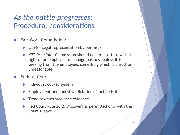### *As the battle progresses:*  Procedural considerations

- Fair Work Commission:
	- ▶ s.596 Legal representation by permission
	- *XPT Principle*: Commission should not to interfere with the right of an employer to manage business unless it is seeking from the employees something which is unjust or unreasonable
- Federal Court:
	- Individual docket system
	- Employment and Industrial Relations Practice Note
	- Trend towards *vice voce* evidence
	- Fed Court Rule 20.2: Discovery is permitted only with the Court's leave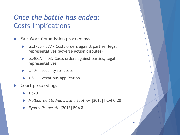## *Once the battle has ended:* Costs Implications

- **Fair Work Commission proceedings:** 
	- ss.375B 377 Costs orders against parties, legal representatives (adverse action disputes)
	- ▶ ss.400A 403: Costs orders against parties, legal representatives
	- ▶ s.404 security for costs
	- $\triangleright$  s.611 vexatious application
- Court proceedings
	- $\blacktriangleright$  s.570
	- *Melbourne Stadiums Ltd v Sautner* [2015] FCAFC 20
	- *Ryan v Primesafe* [2015] FCA 8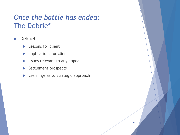## *Once the battle has ended:* The Debrief

#### Debrief:

- **Lessons for client**
- **Implications for client**
- $\blacktriangleright$  Issues relevant to any appeal
- Settlement prospects
- **Learnings as to strategic approach**